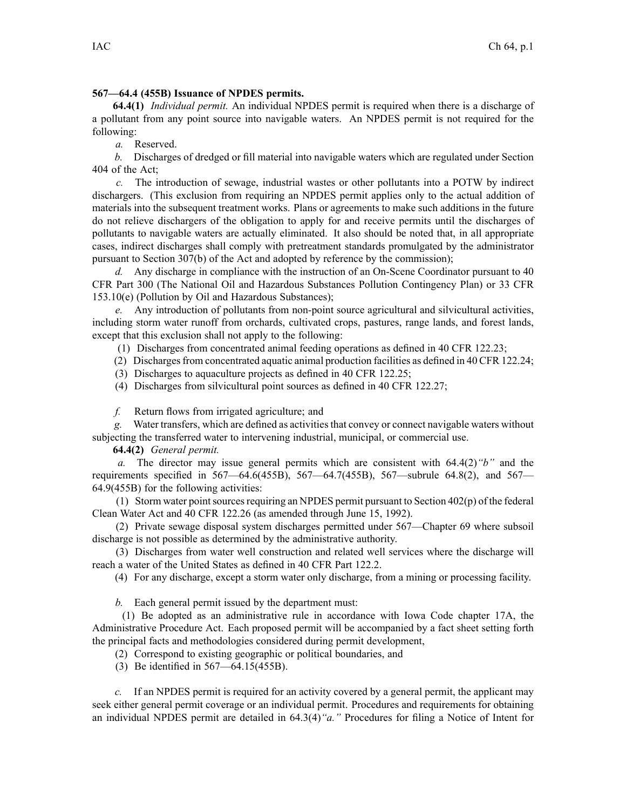## **567—64.4 (455B) Issuance of NPDES permits.**

**64.4(1)** *Individual permit.* An individual NPDES permit is required when there is <sup>a</sup> discharge of <sup>a</sup> pollutant from any point source into navigable waters. An NPDES permit is not required for the following:

*a.* Reserved.

*b.* Discharges of dredged or fill material into navigable waters which are regulated under Section 404 of the Act;

*c.* The introduction of sewage, industrial wastes or other pollutants into <sup>a</sup> POTW by indirect dischargers. (This exclusion from requiring an NPDES permit applies only to the actual addition of materials into the subsequent treatment works. Plans or agreements to make such additions in the future do not relieve dischargers of the obligation to apply for and receive permits until the discharges of pollutants to navigable waters are actually eliminated. It also should be noted that, in all appropriate cases, indirect discharges shall comply with pretreatment standards promulgated by the administrator pursuan<sup>t</sup> to Section 307(b) of the Act and adopted by reference by the commission);

*d.* Any discharge in compliance with the instruction of an On-Scene Coordinator pursuan<sup>t</sup> to 40 CFR Part 300 (The National Oil and Hazardous Substances Pollution Contingency Plan) or 33 CFR 153.10(e) (Pollution by Oil and Hazardous Substances);

*e.* Any introduction of pollutants from non-point source agricultural and silvicultural activities, including storm water runoff from orchards, cultivated crops, pastures, range lands, and forest lands, excep<sup>t</sup> that this exclusion shall not apply to the following:

(1) Discharges from concentrated animal feeding operations as defined in 40 CFR 122.23;

(2) Dischargesfrom concentrated aquatic animal production facilities as defined in 40 CFR 122.24;

(3) Discharges to aquaculture projects as defined in 40 CFR 122.25;

(4) Discharges from silvicultural point sources as defined in 40 CFR 122.27;

*f.* Return flows from irrigated agriculture; and

*g.* Water transfers, which are defined as activitiesthat convey or connect navigable waters without subjecting the transferred water to intervening industrial, municipal, or commercial use.

**64.4(2)** *General permit.*

*a.* The director may issue general permits which are consistent with 64.4(2)*"b"* and the requirements specified in 567—64.6(455B), 567—64.7(455B), 567—subrule 64.8(2), and 567— 64.9(455B) for the following activities:

(1) Storm water point sources requiring an NPDES permit pursuant to Section  $402(p)$  of the federal Clean Water Act and 40 CFR 122.26 (as amended through June 15, 1992).

(2) Private sewage disposal system discharges permitted under 567—Chapter 69 where subsoil discharge is not possible as determined by the administrative authority.

(3) Discharges from water well construction and related well services where the discharge will reach <sup>a</sup> water of the United States as defined in 40 CFR Part 122.2.

(4) For any discharge, excep<sup>t</sup> <sup>a</sup> storm water only discharge, from <sup>a</sup> mining or processing facility.

*b.* Each general permit issued by the department must:

(1) Be adopted as an administrative rule in accordance with Iowa Code chapter 17A, the Administrative Procedure Act. Each proposed permit will be accompanied by <sup>a</sup> fact sheet setting forth the principal facts and methodologies considered during permit development,

(2) Correspond to existing geographic or political boundaries, and

(3) Be identified in 567—64.15(455B).

*c.* If an NPDES permit is required for an activity covered by <sup>a</sup> general permit, the applicant may seek either general permit coverage or an individual permit. Procedures and requirements for obtaining an individual NPDES permit are detailed in 64.3(4)*"a."* Procedures for filing <sup>a</sup> Notice of Intent for